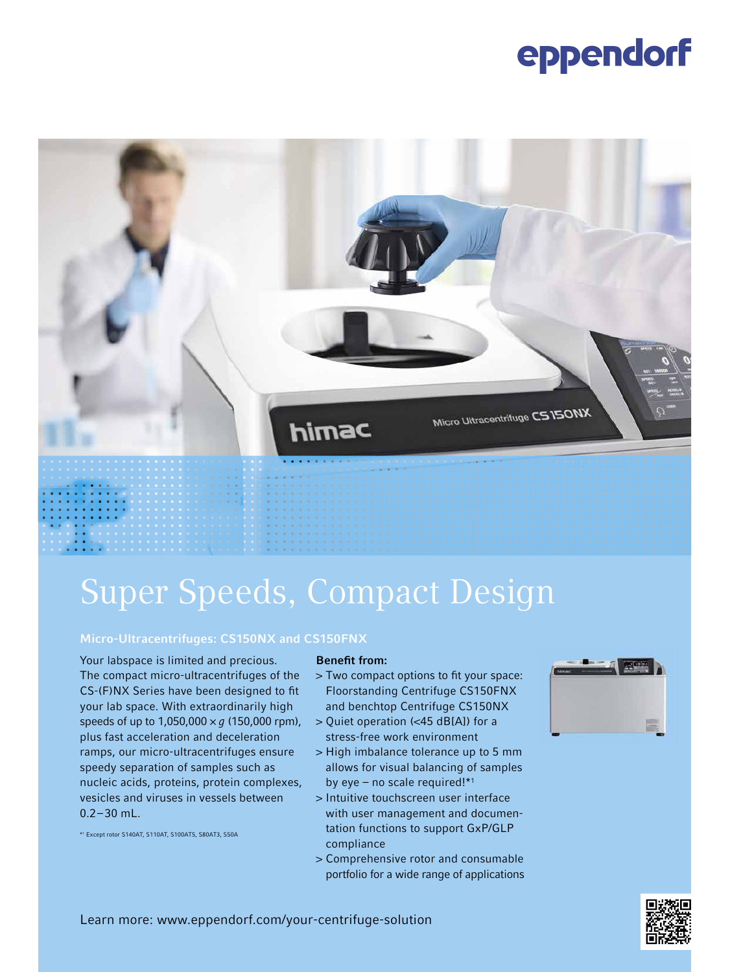# eppendorf



# Super Speeds, Compact Design

### Micro-Ultracentrifuges: CS150NX and CS150FNX

Your labspace is limited and precious. The compact micro-ultracentrifuges of the CS-(F)NX Series have been designed to fit your lab space. With extraordinarily high speeds of up to 1,050,000 × *g* (150,000 rpm), plus fast acceleration and deceleration ramps, our micro-ultracentrifuges ensure speedy separation of samples such as nucleic acids, proteins, protein complexes, vesicles and viruses in vessels between 0.2 – 30 mL.

\*1 Except rotor S140AT, S110AT, S100AT5, S80AT3, S50A

#### Benefit from:

- > Two compact options to fit your space: Floorstanding Centrifuge CS150FNX and benchtop Centrifuge CS150NX
- > Quiet operation (<45 dB[A]) for a stress-free work environment
- > High imbalance tolerance up to 5 mm allows for visual balancing of samples by eye – no scale required! $*1$
- > Intuitive touchscreen user interface with user management and documentation functions to support GxP/GLP compliance
- > Comprehensive rotor and consumable portfolio for a wide range of applications





Learn more: www.eppendorf.com/your-centrifuge-solution